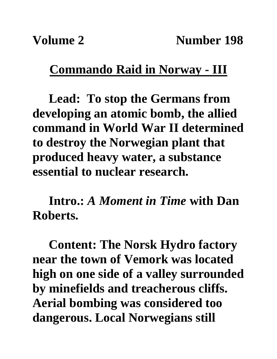## **Commando Raid in Norway - III**

**Lead: To stop the Germans from developing an atomic bomb, the allied command in World War II determined to destroy the Norwegian plant that produced heavy water, a substance essential to nuclear research.**

**Intro.:** *A Moment in Time* **with Dan Roberts.**

**Content: The Norsk Hydro factory near the town of Vemork was located high on one side of a valley surrounded by minefields and treacherous cliffs. Aerial bombing was considered too dangerous. Local Norwegians still**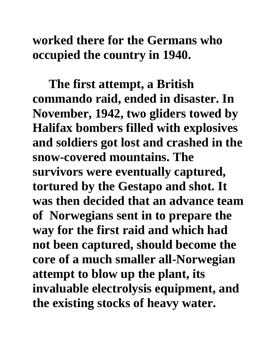## **worked there for the Germans who occupied the country in 1940.**

**The first attempt, a British commando raid, ended in disaster. In November, 1942, two gliders towed by Halifax bombers filled with explosives and soldiers got lost and crashed in the snow-covered mountains. The survivors were eventually captured, tortured by the Gestapo and shot. It was then decided that an advance team of Norwegians sent in to prepare the way for the first raid and which had not been captured, should become the core of a much smaller all-Norwegian attempt to blow up the plant, its invaluable electrolysis equipment, and the existing stocks of heavy water.**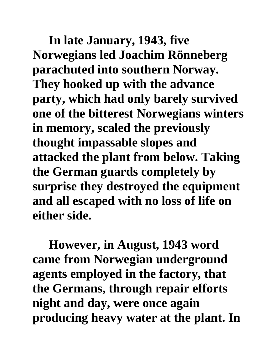**In late January, 1943, five Norwegians led Joachim Rönneberg parachuted into southern Norway. They hooked up with the advance party, which had only barely survived one of the bitterest Norwegians winters in memory, scaled the previously thought impassable slopes and attacked the plant from below. Taking the German guards completely by surprise they destroyed the equipment and all escaped with no loss of life on either side.**

**However, in August, 1943 word came from Norwegian underground agents employed in the factory, that the Germans, through repair efforts night and day, were once again producing heavy water at the plant. In**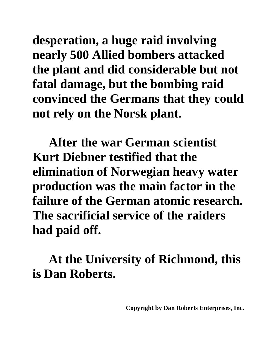**desperation, a huge raid involving nearly 500 Allied bombers attacked the plant and did considerable but not fatal damage, but the bombing raid convinced the Germans that they could not rely on the Norsk plant.**

**After the war German scientist Kurt Diebner testified that the elimination of Norwegian heavy water production was the main factor in the failure of the German atomic research. The sacrificial service of the raiders had paid off.**

**At the University of Richmond, this is Dan Roberts.**

**Copyright by Dan Roberts Enterprises, Inc.**